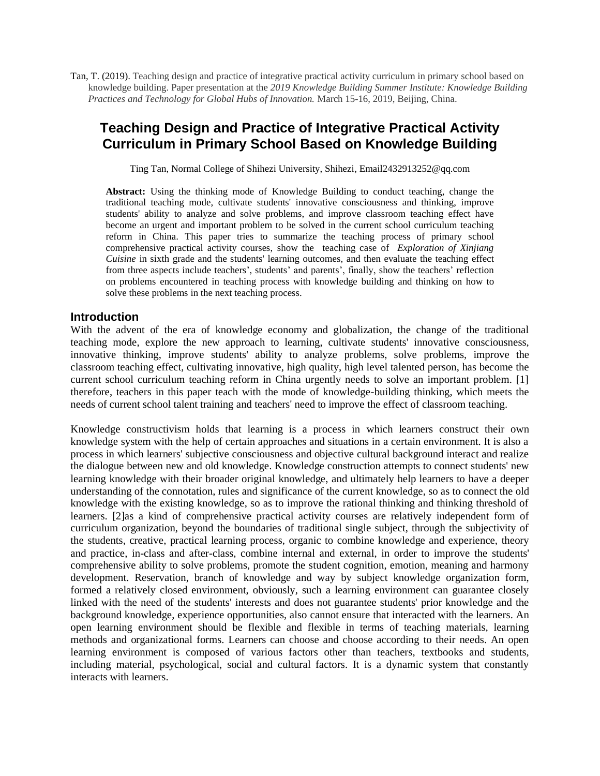Tan, T. (2019). Teaching design and practice of integrative practical activity curriculum in primary school based on knowledge building. Paper presentation at the *2019 Knowledge Building Summer Institute: Knowledge Building Practices and Technology for Global Hubs of Innovation.* March 15-16, 2019, Beijing, China.

# **Teaching Design and Practice of Integrative Practical Activity Curriculum in Primary School Based on Knowledge Building**

Ting Tan, Normal College of Shihezi University, Shihezi, Email2432913252@qq.com

**Abstract:** Using the thinking mode of Knowledge Building to conduct teaching, change the traditional teaching mode, cultivate students' innovative consciousness and thinking, improve students' ability to analyze and solve problems, and improve classroom teaching effect have become an urgent and important problem to be solved in the current school curriculum teaching reform in China. This paper tries to summarize the teaching process of primary school comprehensive practical activity courses, show the teaching case of *Exploration of Xinjiang Cuisine* in sixth grade and the students' learning outcomes, and then evaluate the teaching effect from three aspects include teachers', students' and parents', finally, show the teachers' reflection on problems encountered in teaching process with knowledge building and thinking on how to solve these problems in the next teaching process.

#### **Introduction**

With the advent of the era of knowledge economy and globalization, the change of the traditional teaching mode, explore the new approach to learning, cultivate students' innovative consciousness, innovative thinking, improve students' ability to analyze problems, solve problems, improve the classroom teaching effect, cultivating innovative, high quality, high level talented person, has become the current school curriculum teaching reform in China urgently needs to solve an important problem. [1] therefore, teachers in this paper teach with the mode of knowledge-building thinking, which meets the needs of current school talent training and teachers' need to improve the effect of classroom teaching.

Knowledge constructivism holds that learning is a process in which learners construct their own knowledge system with the help of certain approaches and situations in a certain environment. It is also a process in which learners' subjective consciousness and objective cultural background interact and realize the dialogue between new and old knowledge. Knowledge construction attempts to connect students' new learning knowledge with their broader original knowledge, and ultimately help learners to have a deeper understanding of the connotation, rules and significance of the current knowledge, so as to connect the old knowledge with the existing knowledge, so as to improve the rational thinking and thinking threshold of learners. [2]as a kind of comprehensive practical activity courses are relatively independent form of curriculum organization, beyond the boundaries of traditional single subject, through the subjectivity of the students, creative, practical learning process, organic to combine knowledge and experience, theory and practice, in-class and after-class, combine internal and external, in order to improve the students' comprehensive ability to solve problems, promote the student cognition, emotion, meaning and harmony development. Reservation, branch of knowledge and way by subject knowledge organization form, formed a relatively closed environment, obviously, such a learning environment can guarantee closely linked with the need of the students' interests and does not guarantee students' prior knowledge and the background knowledge, experience opportunities, also cannot ensure that interacted with the learners. An open learning environment should be flexible and flexible in terms of teaching materials, learning methods and organizational forms. Learners can choose and choose according to their needs. An open learning environment is composed of various factors other than teachers, textbooks and students, including material, psychological, social and cultural factors. It is a dynamic system that constantly interacts with learners.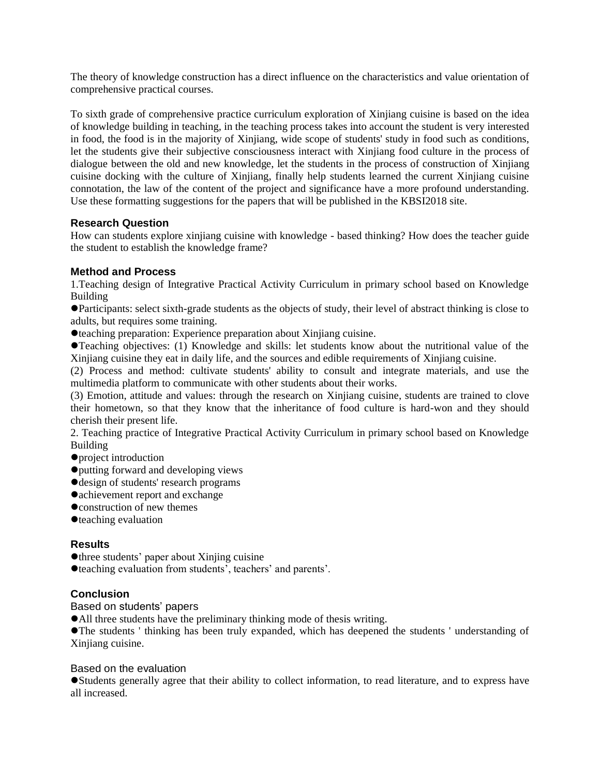The theory of knowledge construction has a direct influence on the characteristics and value orientation of comprehensive practical courses.

To sixth grade of comprehensive practice curriculum exploration of Xinjiang cuisine is based on the idea of knowledge building in teaching, in the teaching process takes into account the student is very interested in food, the food is in the majority of Xinjiang, wide scope of students' study in food such as conditions, let the students give their subjective consciousness interact with Xinjiang food culture in the process of dialogue between the old and new knowledge, let the students in the process of construction of Xinjiang cuisine docking with the culture of Xinjiang, finally help students learned the current Xinjiang cuisine connotation, the law of the content of the project and significance have a more profound understanding. Use these formatting suggestions for the papers that will be published in the KBSI2018 site.

### **Research Question**

How can students explore xinjiang cuisine with knowledge - based thinking? How does the teacher guide the student to establish the knowledge frame?

## **Method and Process**

1.Teaching design of Integrative Practical Activity Curriculum in primary school based on Knowledge Building

⚫Participants: select sixth-grade students as the objects of study, their level of abstract thinking is close to adults, but requires some training.

⚫teaching preparation: Experience preparation about Xinjiang cuisine.

⚫Teaching objectives: (1) Knowledge and skills: let students know about the nutritional value of the Xinjiang cuisine they eat in daily life, and the sources and edible requirements of Xinjiang cuisine.

(2) Process and method: cultivate students' ability to consult and integrate materials, and use the multimedia platform to communicate with other students about their works.

(3) Emotion, attitude and values: through the research on Xinjiang cuisine, students are trained to clove their hometown, so that they know that the inheritance of food culture is hard-won and they should cherish their present life.

2. Teaching practice of Integrative Practical Activity Curriculum in primary school based on Knowledge Building

- ⚫project introduction
- ⚫putting forward and developing views
- ⚫design of students' research programs
- ⚫achievement report and exchange
- ⚫construction of new themes
- ⚫teaching evaluation

### **Results**

⚫three students' paper about Xinjing cuisine

⚫teaching evaluation from students', teachers' and parents'.

### **Conclusion**

Based on students' papers

⚫All three students have the preliminary thinking mode of thesis writing.

⚫The students ' thinking has been truly expanded, which has deepened the students ' understanding of Xinjiang cuisine.

#### Based on the evaluation

⚫Students generally agree that their ability to collect information, to read literature, and to express have all increased.